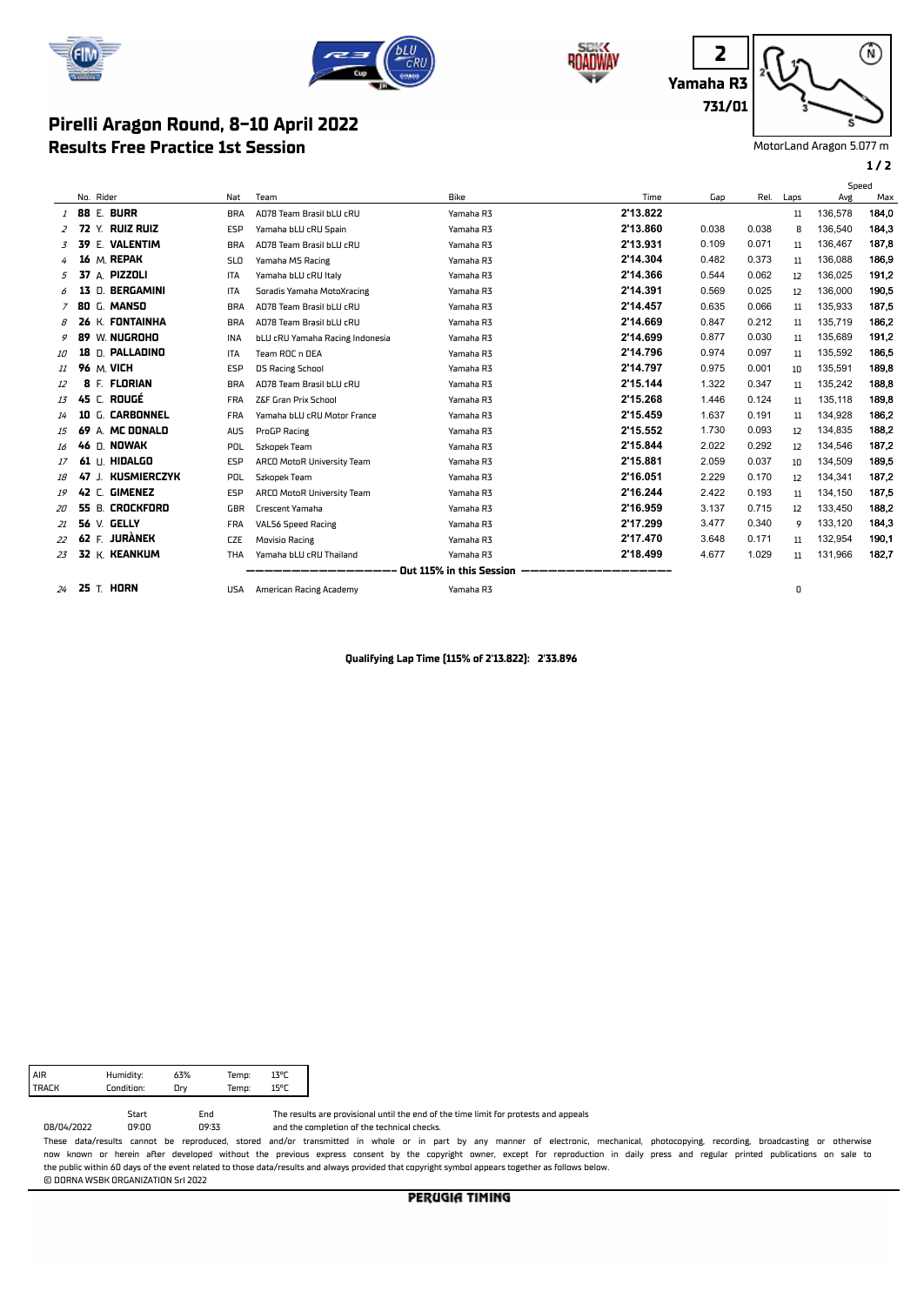



## **Results Free Practice 1st Session Pirelli Aragon Round, 8-10 April 2022**





MotorLand Aragon 5.077 m

**1 / 2**

|               |       |                      |            |                                 |                          |          |       |       |      | Speed   |       |
|---------------|-------|----------------------|------------|---------------------------------|--------------------------|----------|-------|-------|------|---------|-------|
|               |       | No. Rider            | Nat        | Team                            | Bike                     | Time     | Gap   | Rel.  | Laps | Avg     | Max   |
| 1             |       | <b>88 E. BURR</b>    | <b>BRA</b> | AD78 Team Brasil bLU cRU        | Yamaha R3                | 2'13.822 |       |       | 11   | 136.578 | 184,0 |
| $\mathcal{Z}$ |       | 72 Y. RUIZ RUIZ      | ESP        | Yamaha bLU cRU Spain            | Yamaha R3                | 2'13.860 | 0.038 | 0.038 | 8    | 136.540 | 184,3 |
| 3             | 39    | E. VALENTIM          | <b>BRA</b> | AD78 Team Brasil bLU cRU        | Yamaha R3                | 2'13.931 | 0.109 | 0.071 | 11   | 136,467 | 187,8 |
|               |       | 16 M. REPAK          | <b>SLO</b> | Yamaha MS Racing                | Yamaha R3                | 2'14.304 | 0.482 | 0.373 | 11   | 136.088 | 186,9 |
| 5             |       | 37 A. PIZZOLI        | ITA        | Yamaha bLU cRU Italy            | Yamaha R3                | 2'14.366 | 0.544 | 0.062 | 12   | 136,025 | 191,2 |
| 6             | 13    | BERGAMINI<br>n.      | <b>ITA</b> | Soradis Yamaha MotoXracing      | Yamaha R3                | 2'14.391 | 0.569 | 0.025 | 12   | 136,000 | 190,5 |
|               |       | <b>7 80 G. MANSO</b> | <b>BRA</b> | AD78 Team Brasil bLU cRU        | Yamaha R3                | 2'14.457 | 0.635 | 0.066 | 11   | 135.933 | 187.5 |
| 8             |       | 26 K. FONTAINHA      | <b>BRA</b> | AD78 Team Brasil bLU cRU        | Yamaha R3                | 2'14.669 | 0.847 | 0.212 | 11   | 135.719 | 186,2 |
| 9             | 89    | W. <b>NUGROHO</b>    | <b>INA</b> | bLU cRU Yamaha Racing Indonesia | Yamaha R3                | 2'14.699 | 0.877 | 0.030 | 11   | 135,689 | 191,2 |
| <i>10</i>     | 18    | D. <b>Palladino</b>  | <b>ITA</b> | Team ROC n DEA                  | Yamaha R3                | 2'14.796 | 0.974 | 0.097 | 11   | 135,592 | 186,5 |
| 11            |       | <b>96 M. VICH</b>    | ESP        | <b>DS Racing School</b>         | Yamaha R3                | 2'14.797 | 0.975 | 0.001 | 10   | 135,591 | 189,8 |
| 12            | 8     | <b>FLORIAN</b><br>E. | <b>BRA</b> | AD78 Team Brasil bLU cRU        | Yamaha R3                | 2'15.144 | 1.322 | 0.347 | 11   | 135.242 | 188,8 |
| 13            |       | 45 C. ROUGÉ          | <b>FRA</b> | Z&F Gran Prix School            | Yamaha R3                | 2'15.268 | 1.446 | 0.124 | 11   | 135,118 | 189,8 |
| 14            |       | 10 G. CARBONNEL      | <b>FRA</b> | Yamaha bLU cRU Motor France     | Yamaha R3                | 2'15.459 | 1.637 | 0.191 | 11   | 134,928 | 186,2 |
| 15            | 69    | A. MC DONALD         | <b>AUS</b> | ProGP Racing                    | Yamaha R3                | 2'15.552 | 1.730 | 0.093 | 12   | 134,835 | 188,2 |
| 16            | 46    | d. <b>Nowak</b>      | POL        | Szkopek Team                    | Yamaha R3                | 2'15.844 | 2.022 | 0.292 | 12   | 134,546 | 187,2 |
| 17            |       | 61 U. HIDALGO        | <b>ESP</b> | ARCO MotoR University Team      | Yamaha R3                | 2'15.881 | 2.059 | 0.037 | 10   | 134,509 | 189,5 |
| 18            | 47 J. | <b>KUSMIERCZYK</b>   | POL        | Szkopek Team                    | Yamaha R3                | 2'16.051 | 2.229 | 0.170 | 12   | 134,341 | 187,2 |
| 19            |       | 42 C. GIMENEZ        | <b>ESP</b> | ARCO MotoR University Team      | Yamaha R3                | 2'16.244 | 2.422 | 0.193 | 11   | 134.150 | 187,5 |
| 20            |       | 55 B. CROCKFORD      | GBR        | <b>Crescent Yamaha</b>          | Yamaha R3                | 2'16.959 | 3.137 | 0.715 | 12   | 133,450 | 188,2 |
| 21            |       | 56 V. GELLY          | <b>FRA</b> | VAL56 Speed Racing              | Yamaha R3                | 2'17.299 | 3.477 | 0.340 | 9    | 133,120 | 184,3 |
| 22            | 62 F. | <b>JURÀNEK</b>       | <b>CZE</b> | Movisio Racing                  | Yamaha R3                | 2'17.470 | 3.648 | 0.171 | 11   | 132,954 | 190.1 |
| 23            |       | 32 K. KEANKUM        | <b>THA</b> | Yamaha bLU cRU Thailand         | Yamaha R3                | 2'18.499 | 4.677 | 1.029 | 11   | 131.966 | 182,7 |
|               |       |                      |            |                                 | Out 115% in this Session |          |       |       |      |         |       |
| 24            |       | <b>25 T. HORN</b>    | USA        | American Racing Academy         | Yamaha R3                |          |       |       | 0    |         |       |

**Qualifying Lap Time (115% of 2'13.822): 2'33.896**

TRACK Condition: Dry AIR Humidity:<br>TRACK Condition 63% 13°C Temp: 15°C Temp:

09:33 Start End<br>09:00 09:3 08/04/2022

The results are provisional until the end of the time limit for protests and appeals

and the completion of the technical checks.

These data/results cannot be reproduced, stored and/or transmitted in whole or in part by any manner of electronic, mechanical, photocopying, recording, broadcasting or otherwise now known or herein afer developed without the previous express consent by the copyright owner, except for reproduction in daily press and regular printed publications on sale to the public within 60 days of the event related to those data/results and always provided that copyright symbol appears together as follows below. © DORNA WSBK ORGANIZATION Srl 2022